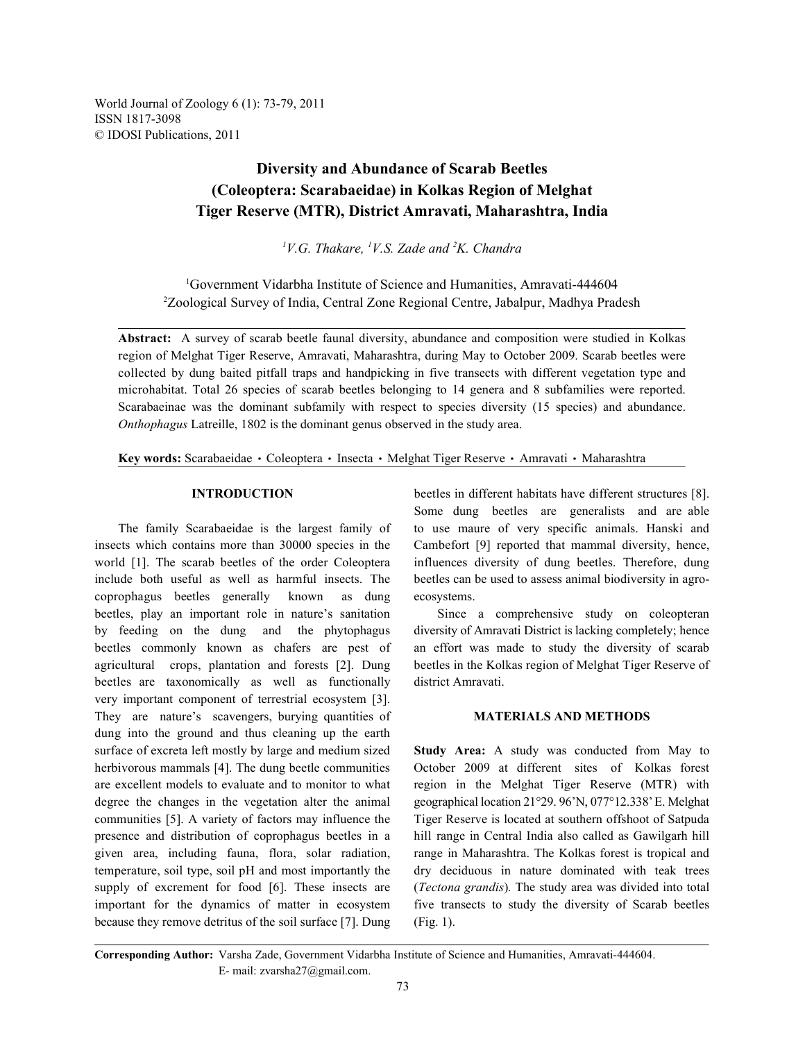World Journal of Zoology 6 (1): 73-79, 2011 ISSN 1817-3098 © IDOSI Publications, 2011

# **Diversity and Abundance of Scarab Beetles (Coleoptera: Scarabaeidae) in Kolkas Region of Melghat Tiger Reserve (MTR), District Amravati, Maharashtra, India**

<sup>1</sup>V.G. Thakare, <sup>1</sup>V.S. Zade and <sup>2</sup>K. Chandra

Government Vidarbha Institute of Science and Humanities, Amravati-444604 <sup>1</sup> <sup>2</sup>Zoological Survey of India, Central Zone Regional Centre, Jabalpur, Madhya Pradesh

**Abstract:** A survey of scarab beetle faunal diversity, abundance and composition were studied in Kolkas region of Melghat Tiger Reserve, Amravati, Maharashtra, during May to October 2009. Scarab beetles were collected by dung baited pitfall traps and handpicking in five transects with different vegetation type and microhabitat. Total 26 species of scarab beetles belonging to 14 genera and 8 subfamilies were reported. Scarabaeinae was the dominant subfamily with respect to species diversity (15 species) and abundance. *Onthophagus* Latreille, 1802 is the dominant genus observed in the study area.

Key words: Scarabaeidae · Coleoptera · Insecta · Melghat Tiger Reserve · Amravati · Maharashtra

insects which contains more than 30000 species in the Cambefort [9] reported that mammal diversity, hence, world [1]. The scarab beetles of the order Coleoptera influences diversity of dung beetles. Therefore, dung include both useful as well as harmful insects. The beetles can be used to assess animal biodiversity in agrocoprophagus beetles generally known as dung ecosystems. beetles, play an important role in nature's sanitation Since a comprehensive study on coleopteran by feeding on the dung and the phytophagus diversity of Amravati District is lacking completely; hence beetles commonly known as chafers are pest of an effort was made to study the diversity of scarab agricultural crops, plantation and forests [2]. Dung beetles in the Kolkas region of Melghat Tiger Reserve of beetles are taxonomically as well as functionally district Amravati. very important component of terrestrial ecosystem [3]. They are nature's scavengers, burying quantities of **MATERIALS AND METHODS** dung into the ground and thus cleaning up the earth surface of excreta left mostly by large and medium sized **Study Area:** A study was conducted from May to herbivorous mammals [4]. The dung beetle communities October 2009 at different sites of Kolkas forest are excellent models to evaluate and to monitor to what region in the Melghat Tiger Reserve (MTR) with degree the changes in the vegetation alter the animal geographical location 21°29. 96'N, 077°12.338' E. Melghat communities [5]. A variety of factors may influence the Tiger Reserve is located at southern offshoot of Satpuda presence and distribution of coprophagus beetles in a hill range in Central India also called as Gawilgarh hill given area, including fauna, flora, solar radiation, range in Maharashtra. The Kolkas forest is tropical and temperature, soil type, soil pH and most importantly the dry deciduous in nature dominated with teak trees supply of excrement for food [6]. These insects are (*Tectona grandis*)*.* The study area was divided into total important for the dynamics of matter in ecosystem five transects to study the diversity of Scarab beetles because they remove detritus of the soil surface [7]. Dung (Fig. 1).

**INTRODUCTION** beetles in different habitats have different structures [8]. The family Scarabaeidae is the largest family of to use maure of very specific animals. Hanski and Some dung beetles are generalists and are able

**Corresponding Author:** Varsha Zade, Government Vidarbha Institute of Science and Humanities, Amravati-444604. E- mail: zvarsha27@gmail.com.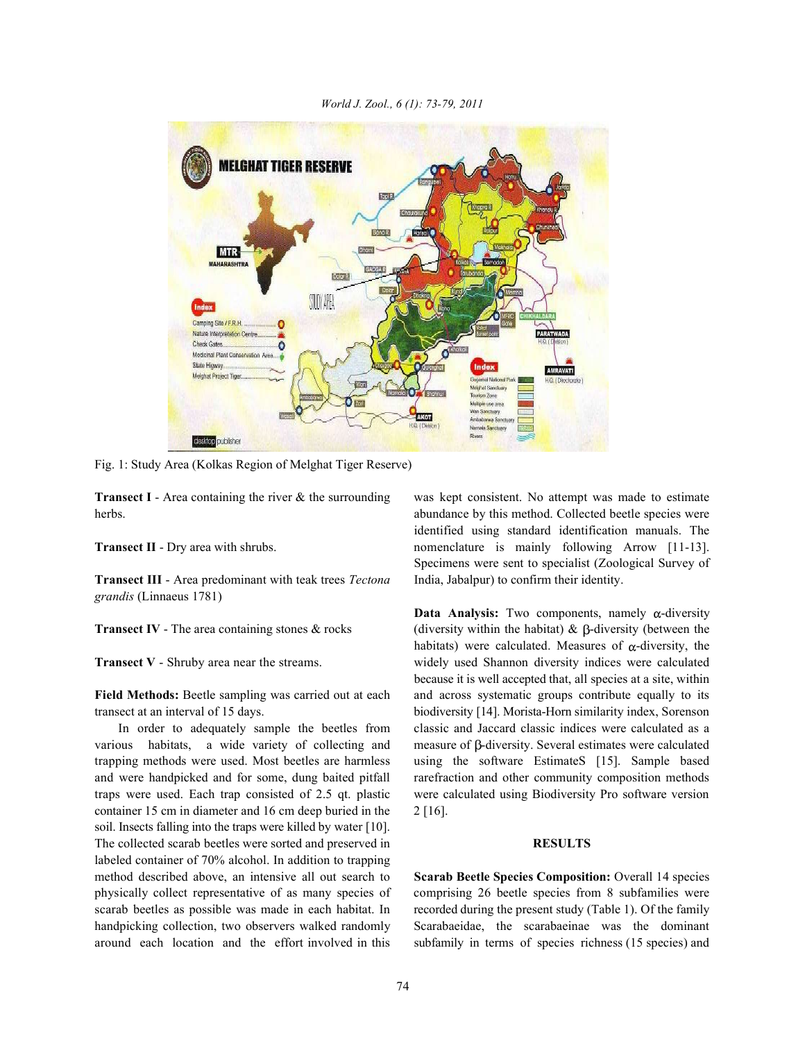

*World J. Zool., 6 (1): 73-79, 2011*

Fig. 1: Study Area (Kolkas Region of Melghat Tiger Reserve)

herbs. abundance by this method. Collected beetle species were

**Transect III** - Area predominant with teak trees *Tectona* India, Jabalpur) to confirm their identity. *grandis* (Linnaeus 1781)

various habitats, a wide variety of collecting and measure of  $\beta$ -diversity. Several estimates were calculated trapping methods were used. Most beetles are harmless using the software EstimateS [15]. Sample based and were handpicked and for some, dung baited pitfall rarefraction and other community composition methods traps were used. Each trap consisted of 2.5 qt. plastic were calculated using Biodiversity Pro software version container 15 cm in diameter and 16 cm deep buried in the 2 [16]. soil. Insects falling into the traps were killed by water [10]. The collected scarab beetles were sorted and preserved in **RESULTS** labeled container of 70% alcohol. In addition to trapping method described above, an intensive all out search to **Scarab Beetle Species Composition:** Overall 14 species physically collect representative of as many species of comprising 26 beetle species from 8 subfamilies were scarab beetles as possible was made in each habitat. In recorded during the present study (Table 1). Of the family handpicking collection, two observers walked randomly Scarabaeidae, the scarabaeinae was the dominant around each location and the effort involved in this subfamily in terms of species richness (15 species) and

**Transect I** - Area containing the river & the surrounding was kept consistent. No attempt was made to estimate **Transect II** - Dry area with shrubs. **nomenclature** is mainly following Arrow [11-13]. identified using standard identification manuals. The Specimens were sent to specialist (Zoological Survey of

**Transect IV** - The area containing stones & rocks (diversity within the habitat) &  $\beta$ -diversity (between the **Transect V** - Shruby area near the streams. widely used Shannon diversity indices were calculated **Field Methods:** Beetle sampling was carried out at each and across systematic groups contribute equally to its transect at an interval of 15 days. biodiversity [14]. Morista-Horn similarity index, Sorenson In order to adequately sample the beetles from classic and Jaccard classic indices were calculated as a **Data Analysis:** Two components, namely  $\alpha$ -diversity habitats) were calculated. Measures of  $\alpha$ -diversity, the because it is well accepted that, all species at a site, within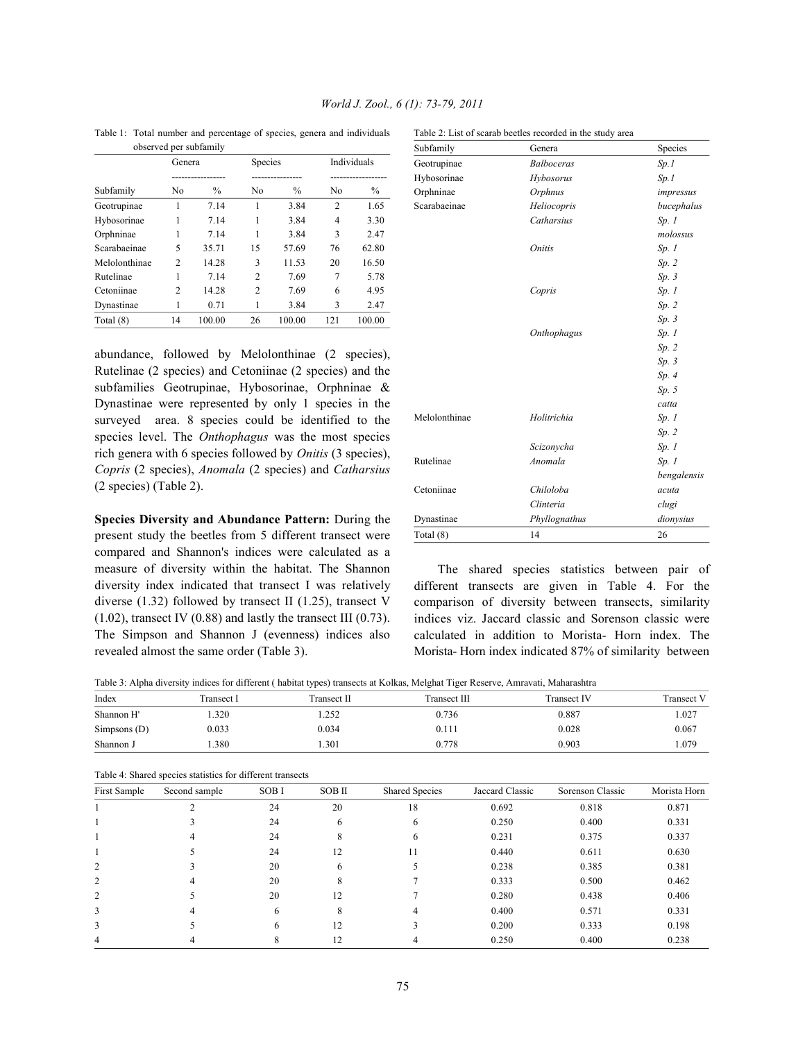| observed per subfamily |                |                   |         |        |                | Subfamily           | Genera       | Species               |            |
|------------------------|----------------|-------------------|---------|--------|----------------|---------------------|--------------|-----------------------|------------|
|                        | Genera         |                   | Species |        |                | Individuals         | Geotrupinae  | <b>Balboceras</b>     | Sp.1       |
|                        |                | ----------------- |         |        |                | ------------------- | Hybosorinae  | Hybosorus             | Sp.1       |
| Subfamily              | No             | $\%$              | No      | $\%$   | N <sub>0</sub> | $\%$                | Orphninae    | <i><b>Orphnus</b></i> | impressus  |
| Geotrupinae            |                | 7.14              |         | 3.84   | 2              | 1.65                | Scarabaeinae | Heliocopris           | bucephalus |
| Hybosorinae            |                | 7.14              |         | 3.84   | 4              | 3.30                |              | Catharsius            | Sp.1       |
| Orphninae              |                | 7.14              |         | 3.84   | 3              | 2.47                |              |                       | molossus   |
| Scarabaeinae           | 5              | 35.71             | 15      | 57.69  | 76             | 62.80               |              | <i>Onitis</i>         | Sp.1       |
| Melolonthinae          | $\overline{c}$ | 14.28             | 3       | 11.53  | 20             | 16.50               |              |                       | Sp. 2      |
| Rutelinae              |                | 7.14              | 2       | 7.69   | 7              | 5.78                |              |                       | Sp.3       |
| Cetoniinae             | $\overline{c}$ | 14.28             | 2       | 7.69   | 6              | 4.95                |              | Copris                | Sp.1       |
| Dynastinae             |                | 0.71              |         | 3.84   | 3              | 2.47                |              |                       | Sp. 2      |
| Total (8)              | 14             | 100.00            | 26      | 100.00 | 121            | 100.00              |              |                       | Sp.3       |

Table 1: Total number and percentage of species, genera and individuals Table 2: List of scarab beetles recorded in the study area

# abundance, followed by Melolonthinae (2 species), Rutelinae (2 species) and Cetoniinae (2 species) and the subfamilies Geotrupinae, Hybosorinae, Orphninae & Dynastinae were represented by only 1 species in the surveyed area. 8 species could be identified to the species level. The *Onthophagus* was the most species rich genera with 6 species followed by *Onitis* (3 species), *Copris* (2 species), *Anomala* (2 species) and *Catharsius* (2 species) (Table 2).

**Species Diversity and Abundance Pattern:** During the present study the beetles from 5 different transect were compared and Shannon's indices were calculated as a measure of diversity within the habitat. The Shannon diversity index indicated that transect I was relatively diverse (1.32) followed by transect II (1.25), transect V  $(1.02)$ , transect IV  $(0.88)$  and lastly the transect III  $(0.73)$ . The Simpson and Shannon J (evenness) indices also revealed almost the same order (Table 3).

| Subfamily     | Genera            | Species     |
|---------------|-------------------|-------------|
| Geotrupinae   | <b>Balboceras</b> | Sp.1        |
| Hybosorinae   | Hybosorus         | Sp.1        |
| Orphninae     | Orphnus           | impressus   |
| Scarabaeinae  | Heliocopris       | bucephalus  |
|               | Catharsius        | Sp.1        |
|               |                   | molossus    |
|               | <i>Onitis</i>     | Sp.1        |
|               |                   | Sp. 2       |
|               |                   | Sp.3        |
|               | Copris            | Sp.1        |
|               |                   | Sp. 2       |
|               |                   | Sp.3        |
|               | Onthophagus       | Sp.1        |
|               |                   | Sp. 2       |
|               |                   | Sp.3        |
|               |                   | Sp.4        |
|               |                   | Sp. 5       |
|               |                   | catta       |
| Melolonthinae | Holitrichia       | Sp.1        |
|               |                   | Sp. 2       |
|               | Scizonycha        | Sp.1        |
| Rutelinae     | Anomala           | Sp.1        |
|               |                   | bengalensis |
| Cetoniinae    | Chiloloba         | acuta       |
|               | Clinteria         | clugi       |
| Dynastinae    | Phyllognathus     | dionysius   |
| Total (8)     | 14                | 26          |

The shared species statistics between pair of different transects are given in Table 4. For the comparison of diversity between transects, similarity indices viz. Jaccard classic and Sorenson classic were calculated in addition to Morista- Horn index. The Morista- Horn index indicated 87% of similarity between

Table 3: Alpha diversity indices for different ( habitat types) transects at Kolkas, Melghat Tiger Reserve, Amravati, Maharashtra

| Index          | ™ransect l | Γransect Π | Transect III | <b>Transect IV</b> | <b>Transect V</b> |
|----------------|------------|------------|--------------|--------------------|-------------------|
| Shannon H'     | .320       | 1.252      | 0.736        | 0.887              | 0.027             |
| Simpsons $(D)$ | 0.033      | 0.034      | 0.111        | 0.028              | 0.067             |
| Shannon J      | .380       | 1.301      | 0.778        | 0.903              | .079              |

| First Sample   | Second sample | <b>SOBI</b> | SOB II | <b>Shared Species</b> | Jaccard Classic | Sorenson Classic | Morista Horn |
|----------------|---------------|-------------|--------|-----------------------|-----------------|------------------|--------------|
|                |               | 24          | 20     | 18                    | 0.692           | 0.818            | 0.871        |
|                |               | 24          | 6      | 6                     | 0.250           | 0.400            | 0.331        |
|                |               | 24          | 8      | h.                    | 0.231           | 0.375            | 0.337        |
|                |               | 24          | 12     | 11                    | 0.440           | 0.611            | 0.630        |
| $\overline{2}$ |               | 20          | 6      |                       | 0.238           | 0.385            | 0.381        |
| $\overline{2}$ |               | 20          | Δ.     |                       | 0.333           | 0.500            | 0.462        |
| $\overline{2}$ |               | 20          | 12     |                       | 0.280           | 0.438            | 0.406        |
| 3              |               | 6           | 8      |                       | 0.400           | 0.571            | 0.331        |
| 3              |               | 6           | 12     |                       | 0.200           | 0.333            | 0.198        |
| 4              |               |             |        |                       | 0.250           | 0.400            | 0.238        |

Table 4: Shared species statistics for different transects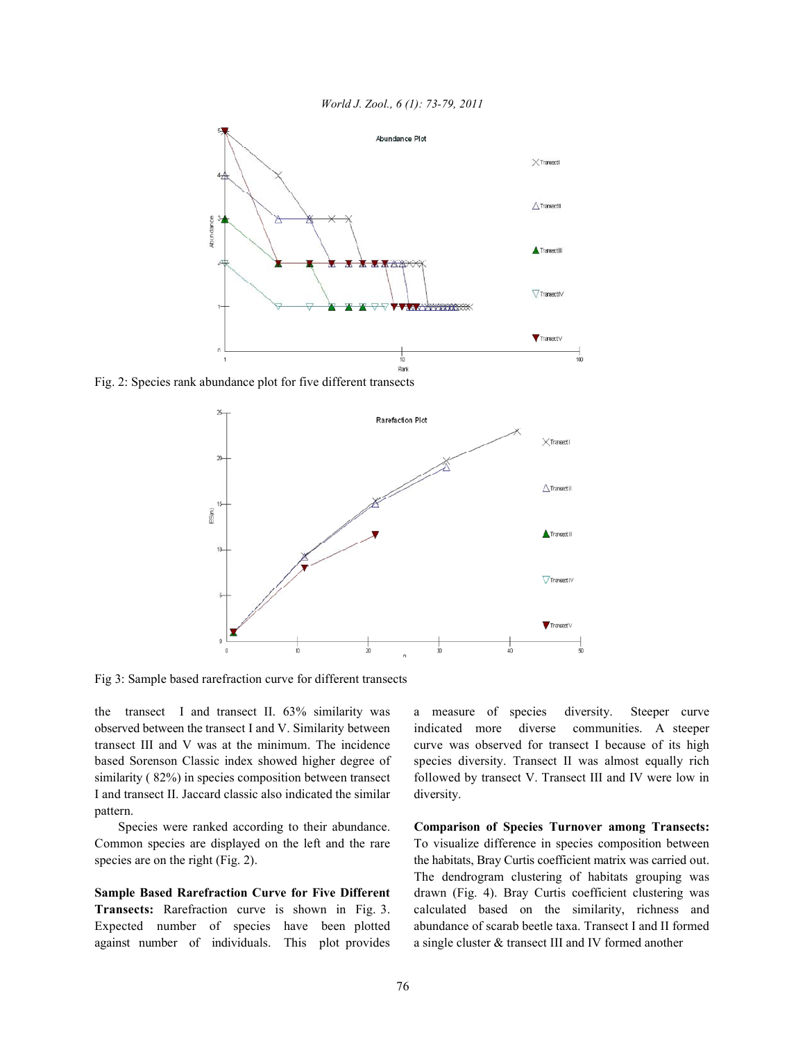



Fig. 2: Species rank abundance plot for five different transects



Fig 3: Sample based rarefraction curve for different transects

observed between the transect I and V. Similarity between indicated more diverse communities. A steeper transect III and V was at the minimum. The incidence curve was observed for transect I because of its high based Sorenson Classic index showed higher degree of species diversity. Transect II was almost equally rich similarity (82%) in species composition between transect followed by transect V. Transect III and IV were low in I and transect II. Jaccard classic also indicated the similar diversity. pattern.

species are on the right (Fig. 2). the habitats, Bray Curtis coefficient matrix was carried out.

**Transects:** Rarefraction curve is shown in Fig. 3. calculated based on the similarity, richness and Expected number of species have been plotted abundance of scarab beetle taxa. Transect I and II formed against number of individuals. This plot provides a single cluster & transect III and IV formed another

the transect I and transect II. 63% similarity was a measure of species diversity. Steeper curve

Species were ranked according to their abundance. **Comparison of Species Turnover among Transects:** Common species are displayed on the left and the rare To visualize difference in species composition between **Sample Based Rarefraction Curve for Five Different** drawn (Fig. 4). Bray Curtis coefficient clustering was The dendrogram clustering of habitats grouping was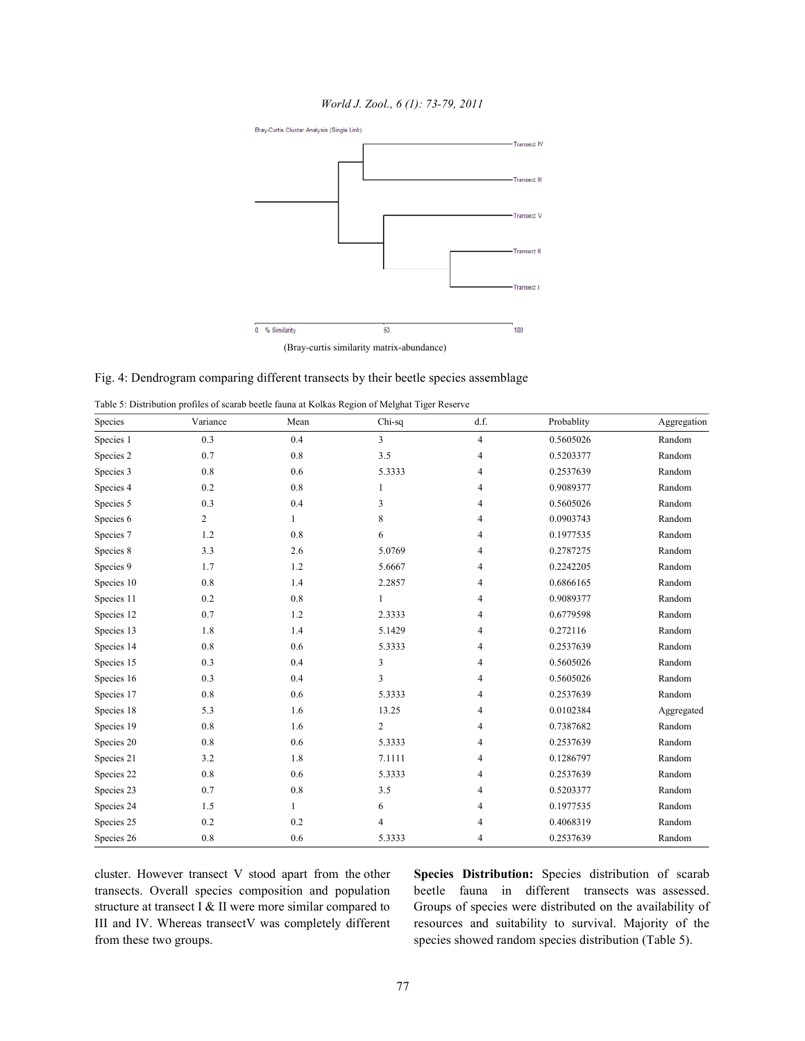*World J. Zool., 6 (1): 73-79, 2011*



Fig. 4: Dendrogram comparing different transects by their beetle species assemblage

| Table 5: Distribution profiles of scarab beetle fauna at Kolkas Region of Melghat Tiger Reserve |  |  |  |  |
|-------------------------------------------------------------------------------------------------|--|--|--|--|
|                                                                                                 |  |  |  |  |

| Species    | Variance       | Mean         | Chi-sq                  | d.f.           | Probablity | Aggregation |
|------------|----------------|--------------|-------------------------|----------------|------------|-------------|
| Species 1  | 0.3            | 0.4          | $\overline{\mathbf{3}}$ | $\overline{4}$ | 0.5605026  | Random      |
| Species 2  | 0.7            | 0.8          | 3.5                     | 4              | 0.5203377  | Random      |
| Species 3  | 0.8            | 0.6          | 5.3333                  | 4              | 0.2537639  | Random      |
| Species 4  | 0.2            | 0.8          | 1                       | 4              | 0.9089377  | Random      |
| Species 5  | 0.3            | 0.4          | 3                       | 4              | 0.5605026  | Random      |
| Species 6  | $\overline{c}$ | $\mathbf{1}$ | 8                       | 4              | 0.0903743  | Random      |
| Species 7  | 1.2            | 0.8          | 6                       | 4              | 0.1977535  | Random      |
| Species 8  | 3.3            | 2.6          | 5.0769                  | 4              | 0.2787275  | Random      |
| Species 9  | 1.7            | 1.2          | 5.6667                  | 4              | 0.2242205  | Random      |
| Species 10 | 0.8            | 1.4          | 2.2857                  | 4              | 0.6866165  | Random      |
| Species 11 | 0.2            | 0.8          | 1                       | 4              | 0.9089377  | Random      |
| Species 12 | 0.7            | 1.2          | 2.3333                  | 4              | 0.6779598  | Random      |
| Species 13 | 1.8            | 1.4          | 5.1429                  | 4              | 0.272116   | Random      |
| Species 14 | 0.8            | 0.6          | 5.3333                  | 4              | 0.2537639  | Random      |
| Species 15 | 0.3            | 0.4          | 3                       | 4              | 0.5605026  | Random      |
| Species 16 | 0.3            | 0.4          | 3                       | 4              | 0.5605026  | Random      |
| Species 17 | 0.8            | 0.6          | 5.3333                  | 4              | 0.2537639  | Random      |
| Species 18 | 5.3            | 1.6          | 13.25                   | 4              | 0.0102384  | Aggregated  |
| Species 19 | 0.8            | 1.6          | $\overline{2}$          | 4              | 0.7387682  | Random      |
| Species 20 | 0.8            | 0.6          | 5.3333                  | 4              | 0.2537639  | Random      |
| Species 21 | 3.2            | 1.8          | 7.1111                  | 4              | 0.1286797  | Random      |
| Species 22 | 0.8            | 0.6          | 5.3333                  | 4              | 0.2537639  | Random      |
| Species 23 | 0.7            | 0.8          | 3.5                     | 4              | 0.5203377  | Random      |
| Species 24 | 1.5            | 1            | 6                       | 4              | 0.1977535  | Random      |
| Species 25 | 0.2            | 0.2          | 4                       | 4              | 0.4068319  | Random      |
| Species 26 | 0.8            | 0.6          | 5.3333                  | 4              | 0.2537639  | Random      |

cluster. However transect V stood apart from the other **Species Distribution:** Species distribution of scarab transects. Overall species composition and population beetle fauna in different transects was assessed. structure at transect I & II were more similar compared to Groups of species were distributed on the availability of III and IV. Whereas transectV was completely different resources and suitability to survival. Majority of the from these two groups. species showed random species distribution (Table 5).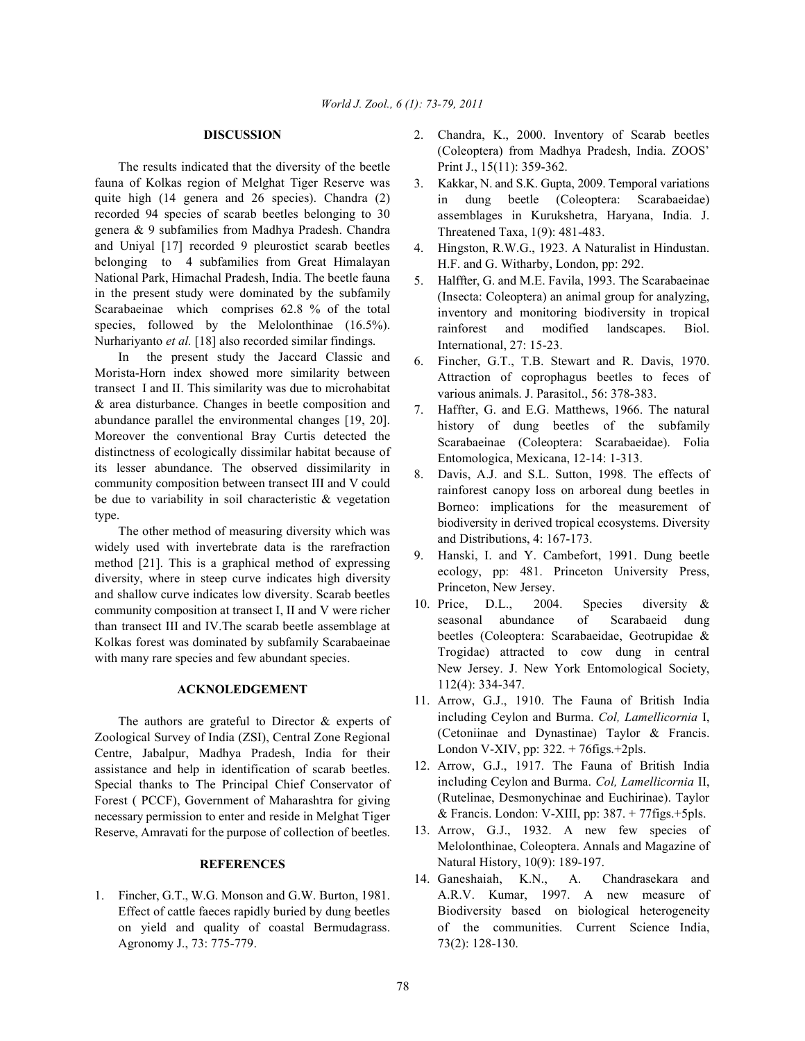The results indicated that the diversity of the beetle fauna of Kolkas region of Melghat Tiger Reserve was quite high (14 genera and 26 species). Chandra (2) recorded 94 species of scarab beetles belonging to 30 genera & 9 subfamilies from Madhya Pradesh. Chandra and Uniyal [17] recorded 9 pleurostict scarab beetles belonging to 4 subfamilies from Great Himalayan National Park, Himachal Pradesh, India. The beetle fauna in the present study were dominated by the subfamily Scarabaeinae which comprises 62.8 % of the total species, followed by the Melolonthinae (16.5%). Nurhariyanto *et al.* [18] also recorded similar findings.

In the present study the Jaccard Classic and Morista-Horn index showed more similarity between transect I and II. This similarity was due to microhabitat & area disturbance. Changes in beetle composition and abundance parallel the environmental changes [19, 20]. Moreover the conventional Bray Curtis detected the distinctness of ecologically dissimilar habitat because of its lesser abundance. The observed dissimilarity in community composition between transect III and V could be due to variability in soil characteristic & vegetation type.

The other method of measuring diversity which was widely used with invertebrate data is the rarefraction method [21]. This is a graphical method of expressing diversity, where in steep curve indicates high diversity and shallow curve indicates low diversity. Scarab beetles community composition at transect I, II and V were richer than transect III and IV.The scarab beetle assemblage at Kolkas forest was dominated by subfamily Scarabaeinae with many rare species and few abundant species.

## **ACKNOLEDGEMENT**

The authors are grateful to Director  $\&$  experts of Zoological Survey of India (ZSI), Central Zone Regional Centre, Jabalpur, Madhya Pradesh, India for their assistance and help in identification of scarab beetles. Special thanks to The Principal Chief Conservator of Forest ( PCCF), Government of Maharashtra for giving necessary permission to enter and reside in Melghat Tiger Reserve, Amravati for the purpose of collection of beetles.

## **REFERENCES**

1. Fincher, G.T., W.G. Monson and G.W. Burton, 1981. Effect of cattle faeces rapidly buried by dung beetles on yield and quality of coastal Bermudagrass. Agronomy J., 73: 775-779.

- **DISCUSSION** 2. Chandra, K., 2000. Inventory of Scarab beetles (Coleoptera) from Madhya Pradesh, India. ZOOS' Print J., 15(11): 359-362.
	- 3. Kakkar, N. and S.K. Gupta, 2009. Temporal variations in dung beetle (Coleoptera: Scarabaeidae) assemblages in Kurukshetra, Haryana, India. J. Threatened Taxa, 1(9): 481-483.
	- 4. Hingston, R.W.G., 1923. A Naturalist in Hindustan. H.F. and G. Witharby, London, pp: 292.
	- 5. Halffter, G. and M.E. Favila, 1993. The Scarabaeinae (Insecta: Coleoptera) an animal group for analyzing, inventory and monitoring biodiversity in tropical rainforest and modified landscapes. Biol. International, 27: 15-23.
	- 6. Fincher, G.T., T.B. Stewart and R. Davis, 1970. Attraction of coprophagus beetles to feces of various animals. J. Parasitol., 56: 378-383.
	- 7. Haffter, G. and E.G. Matthews, 1966. The natural history of dung beetles of the subfamily Scarabaeinae (Coleoptera: Scarabaeidae). Folia Entomologica, Mexicana, 12-14: 1-313.
	- 8. Davis, A.J. and S.L. Sutton, 1998. The effects of rainforest canopy loss on arboreal dung beetles in Borneo: implications for the measurement of biodiversity in derived tropical ecosystems. Diversity and Distributions, 4: 167-173.
	- 9. Hanski, I. and Y. Cambefort, 1991. Dung beetle ecology, pp: 481. Princeton University Press, Princeton, New Jersey.
	- 10. Price, D.L., 2004. Species diversity & seasonal abundance of Scarabaeid dung beetles (Coleoptera: Scarabaeidae, Geotrupidae & Trogidae) attracted to cow dung in central New Jersey. J. New York Entomological Society, 112(4): 334-347.
	- 11. Arrow, G.J., 1910. The Fauna of British India including Ceylon and Burma. *Col, Lamellicornia* I, (Cetoniinae and Dynastinae) Taylor & Francis. London V-XIV, pp: 322. + 76figs.+2pls.
	- 12. Arrow, G.J., 1917. The Fauna of British India including Ceylon and Burma. *Col, Lamellicornia* II, (Rutelinae, Desmonychinae and Euchirinae). Taylor & Francis. London: V-XIII, pp: 387. + 77figs.+5pls.
	- 13. Arrow, G.J., 1932. A new few species of Melolonthinae, Coleoptera. Annals and Magazine of Natural History, 10(9): 189-197.
	- 14. Ganeshaiah, K.N., A. Chandrasekara and A.R.V. Kumar, 1997. A new measure of Biodiversity based on biological heterogeneity of the communities. Current Science India, 73(2): 128-130.